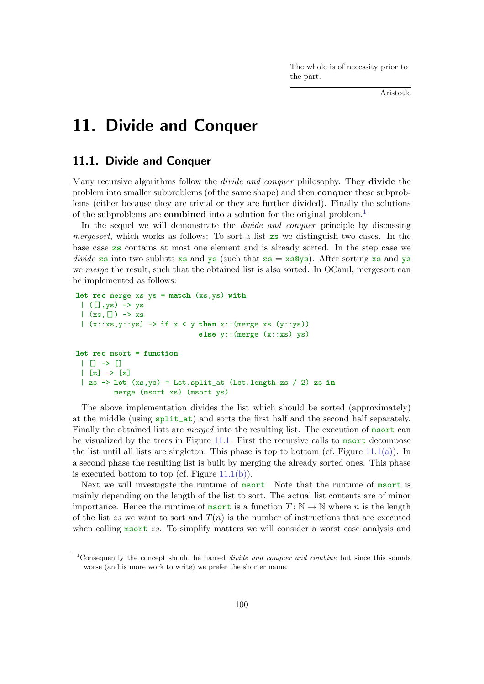The whole is of necessity prior to the part.

Aristotle

# 11. Divide and Conquer

## 11.1. Divide and Conquer

Many recursive algorithms follow the *divide and conquer* philosophy. They **divide** the problem into smaller subproblems (of the same shape) and then conquer these subproblems (either because they are trivial or they are further divided). Finally the solutions of the subproblems are **combined** into a solution for the original problem.<sup>1</sup>

In the sequel we will demonstrate the *divide and conquer* principle by discussing mergesort, which works as follows: To sort a list zs we distinguish two cases. In the base case zs contains at most one element and is already sorted. In the step case we *divide* zs into two sublists xs and ys (such that  $z = x \text{s} \text{Q} y \text{s}$ ). After sorting xs and ys we merge the result, such that the obtained list is also sorted. In OCaml, mergesort can be implemented as follows:

```
let rec merge xs ys = match (xs,ys) with
 | ([],ys) \rightarrow ys
 |(xs,[]) \rightarrow xs|(x::xs,y::ys)| \rightarrow if x < y then x::(merge xs (y::ys))else y::(merge(x::xs)ys)let rec msort = function
 | | \rightarrow || [z] \rightarrow [z]| zs \rightarrow let (xs,ys) = Lst.split_at (Lst.length zs / 2) zs in
          merge (msort xs) (msort ys)
```
The above implementation divides the list which should be sorted (approximately) at the middle (using split\_at) and sorts the first half and the second half separately. Finally the obtained lists are *merged* into the resulting list. The execution of msort can be visualized by the trees in Figure 11.1. First the recursive calls to msort decompose the list until all lists are singleton. This phase is top to bottom (cf. Figure 11.1(a)). In a second phase the resulting list is built by merging the already sorted ones. This phase is executed bottom to top (cf. Figure  $11.1(b)$ ).

Next we will investigate the runtime of msort. Note that the runtime of msort is mainly depending on the length of the list to sort. The actual list contents are of minor importance. Hence the runtime of msort is a function  $T: \mathbb{N} \to \mathbb{N}$  where n is the length of the list zs we want to sort and  $T(n)$  is the number of instructions that are executed when calling msort zs. To simplify matters we will consider a worst case analysis and

<sup>&</sup>lt;sup>1</sup>Consequently the concept should be named *divide and conquer and combine* but since this sounds worse (and is more work to write) we prefer the shorter name.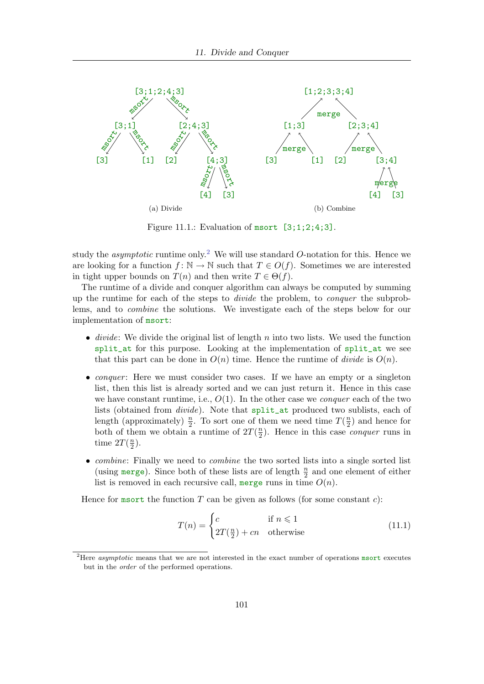

Figure 11.1.: Evaluation of msort [3;1;2;4;3].

study the *asymptotic* runtime only.<sup>2</sup> We will use standard O-notation for this. Hence we are looking for a function  $f: \mathbb{N} \to \mathbb{N}$  such that  $T \in O(f)$ . Sometimes we are interested in tight upper bounds on  $T(n)$  and then write  $T \in \Theta(f)$ .

The runtime of a divide and conquer algorithm can always be computed by summing up the runtime for each of the steps to divide the problem, to conquer the subproblems, and to combine the solutions. We investigate each of the steps below for our implementation of msort:

- divide: We divide the original list of length  $n$  into two lists. We used the function split\_at for this purpose. Looking at the implementation of split\_at we see that this part can be done in  $O(n)$  time. Hence the runtime of *divide* is  $O(n)$ .
- *conquer*: Here we must consider two cases. If we have an empty or a singleton list, then this list is already sorted and we can just return it. Hence in this case we have constant runtime, i.e.,  $O(1)$ . In the other case we *conquer* each of the two lists (obtained from divide). Note that split\_at produced two sublists, each of length (approximately)  $\frac{n}{2}$ . To sort one of them we need time  $T(\frac{n}{2})$  $\frac{n}{2}$ ) and hence for both of them we obtain a runtime of  $2T(\frac{n}{2})$  $\frac{n}{2}$ ). Hence in this case *conquer* runs in time  $2T(\frac{n}{2})$  $\frac{n}{2}$ ).
- *combine:* Finally we need to *combine* the two sorted lists into a single sorted list (using merge). Since both of these lists are of length  $\frac{n}{2}$  and one element of either list is removed in each recursive call, merge runs in time  $O(n)$ .

Hence for msort the function  $T$  can be given as follows (for some constant  $c$ ):

$$
T(n) = \begin{cases} c & \text{if } n \leq 1\\ 2T(\frac{n}{2}) + cn & \text{otherwise} \end{cases}
$$
 (11.1)

<sup>&</sup>lt;sup>2</sup>Here *asymptotic* means that we are not interested in the exact number of operations msort executes but in the order of the performed operations.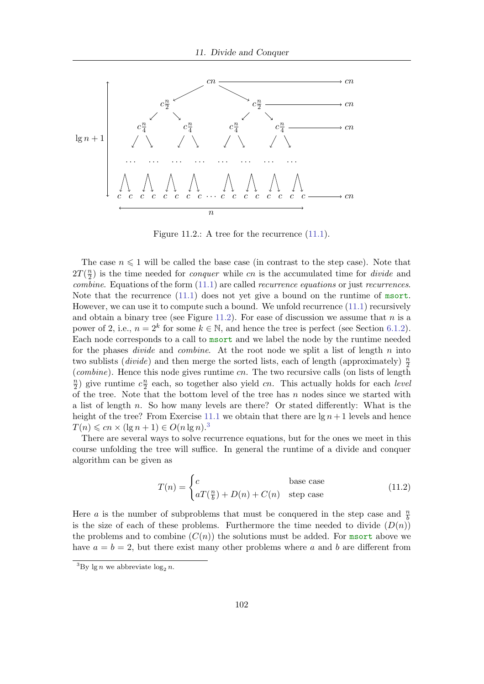

Figure 11.2.: A tree for the recurrence  $(11.1)$ .

The case  $n \leq 1$  will be called the base case (in contrast to the step case). Note that  $2T(\frac{n}{2})$  $\frac{n}{2}$ ) is the time needed for *conquer* while cn is the accumulated time for *divide* and *combine.* Equations of the form  $(11.1)$  are called *recurrence equations* or just *recurrences*. Note that the recurrence (11.1) does not yet give a bound on the runtime of msort. However, we can use it to compute such a bound. We unfold recurrence (11.1) recursively and obtain a binary tree (see Figure 11.2). For ease of discussion we assume that  $n$  is a power of 2, i.e.,  $n = 2^k$  for some  $k \in \mathbb{N}$ , and hence the tree is perfect (see Section 6.1.2). Each node corresponds to a call to msort and we label the node by the runtime needed for the phases *divide* and *combine*. At the root node we split a list of length n into two sublists (*divide*) and then merge the sorted lists, each of length (approximately)  $\frac{n}{2}$  $(combine)$ . Hence this node gives runtime  $cn$ . The two recursive calls (on lists of length  $\overline{n}$  $\frac{n}{2}$ ) give runtime  $c \frac{n}{2}$  $\frac{n}{2}$  each, so together also yield cn. This actually holds for each *level* of the tree. Note that the bottom level of the tree has  $n$  nodes since we started with a list of length n. So how many levels are there? Or stated differently: What is the height of the tree? From Exercise 11.1 we obtain that there are  $\lg n + 1$  levels and hence  $T(n) \leqslant cn \times (\lg n + 1) \in O(n \lg n)^{3}$ 

There are several ways to solve recurrence equations, but for the ones we meet in this course unfolding the tree will suffice. In general the runtime of a divide and conquer algorithm can be given as

$$
T(n) = \begin{cases} c & \text{base case} \\ aT(\frac{n}{b}) + D(n) + C(n) & \text{step case} \end{cases}
$$
 (11.2)

Here *a* is the number of subproblems that must be conquered in the step case and  $\frac{n}{b}$ is the size of each of these problems. Furthermore the time needed to divide  $(D(n))$ the problems and to combine  $(C(n))$  the solutions must be added. For msort above we have  $a = b = 2$ , but there exist many other problems where a and b are different from

<sup>&</sup>lt;sup>3</sup>By lg *n* we abbreviate  $\log_2 n$ .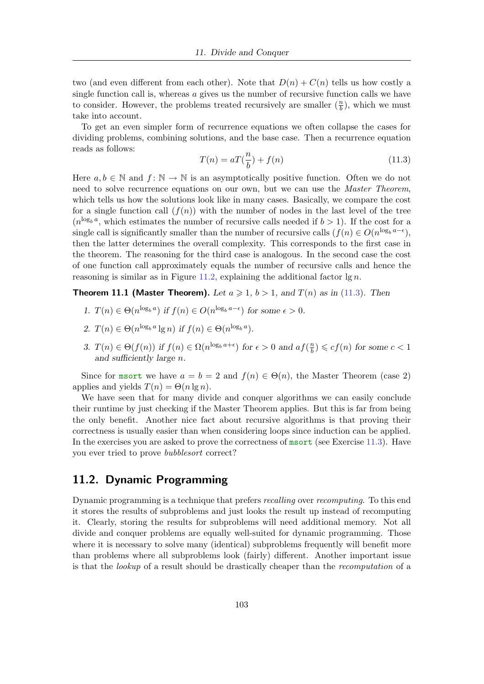two (and even different from each other). Note that  $D(n) + C(n)$  tells us how costly a single function call is, whereas  $\alpha$  gives us the number of recursive function calls we have to consider. However, the problems treated recursively are smaller  $(\frac{n}{b})$  $\frac{n}{b}$ ), which we must take into account.

To get an even simpler form of recurrence equations we often collapse the cases for dividing problems, combining solutions, and the base case. Then a recurrence equation reads as follows:

$$
T(n) = aT(\frac{n}{b}) + f(n)
$$
\n(11.3)

Here  $a, b \in \mathbb{N}$  and  $f: \mathbb{N} \to \mathbb{N}$  is an asymptotically positive function. Often we do not need to solve recurrence equations on our own, but we can use the *Master Theorem*, which tells us how the solutions look like in many cases. Basically, we compare the cost for a single function call  $(f(n))$  with the number of nodes in the last level of the tree  $(n^{\log_b a},$  which estimates the number of recursive calls needed if  $b > 1$ ). If the cost for a single call is significantly smaller than the number of recursive calls  $(f(n) \in O(n^{\log_b a - \epsilon}),$ then the latter determines the overall complexity. This corresponds to the first case in the theorem. The reasoning for the third case is analogous. In the second case the cost of one function call approximately equals the number of recursive calls and hence the reasoning is similar as in Figure 11.2, explaining the additional factor  $\lg n$ .

**Theorem 11.1 (Master Theorem).** Let  $a \ge 1$ ,  $b > 1$ , and  $T(n)$  as in (11.3). Then

- 1.  $T(n) \in \Theta(n^{\log_b a})$  if  $f(n) \in O(n^{\log_b a \epsilon})$  for some  $\epsilon > 0$ .
- 2.  $T(n) \in \Theta(n^{\log_b a} \lg n)$  if  $f(n) \in \Theta(n^{\log_b a})$ .
- 3.  $T(n) \in \Theta(f(n))$  if  $f(n) \in \Omega(n^{\log_b a + \epsilon})$  for  $\epsilon > 0$  and  $af(\frac{n}{b})$  $\left(\frac{n}{b}\right) \leqslant cf(n)$  for some  $c < 1$ and sufficiently large n.

Since for msort we have  $a = b = 2$  and  $f(n) \in \Theta(n)$ , the Master Theorem (case 2) applies and yields  $T(n) = \Theta(n \lg n)$ .

We have seen that for many divide and conquer algorithms we can easily conclude their runtime by just checking if the Master Theorem applies. But this is far from being the only benefit. Another nice fact about recursive algorithms is that proving their correctness is usually easier than when considering loops since induction can be applied. In the exercises you are asked to prove the correctness of msort (see Exercise 11.3). Have you ever tried to prove bubblesort correct?

# 11.2. Dynamic Programming

Dynamic programming is a technique that prefers recalling over recomputing. To this end it stores the results of subproblems and just looks the result up instead of recomputing it. Clearly, storing the results for subproblems will need additional memory. Not all divide and conquer problems are equally well-suited for dynamic programming. Those where it is necessary to solve many (identical) subproblems frequently will benefit more than problems where all subproblems look (fairly) different. Another important issue is that the lookup of a result should be drastically cheaper than the recomputation of a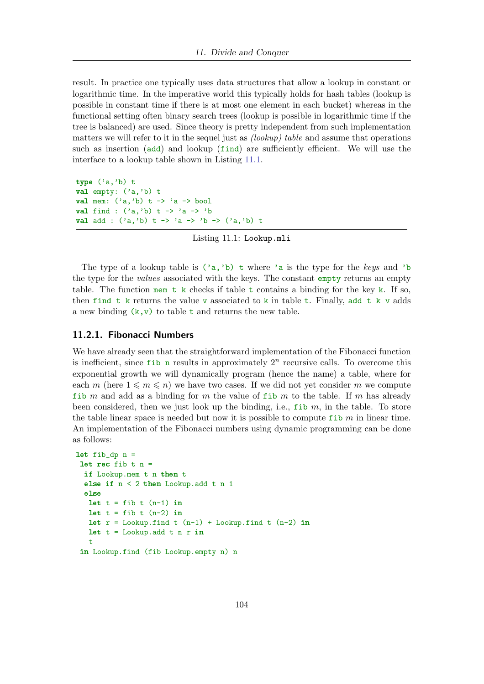result. In practice one typically uses data structures that allow a lookup in constant or logarithmic time. In the imperative world this typically holds for hash tables (lookup is possible in constant time if there is at most one element in each bucket) whereas in the functional setting often binary search trees (lookup is possible in logarithmic time if the tree is balanced) are used. Since theory is pretty independent from such implementation matters we will refer to it in the sequel just as  $(lookup)$  table and assume that operations such as insertion (add) and lookup (find) are sufficiently efficient. We will use the interface to a lookup table shown in Listing 11.1.

```
type ('a,'b) t
val empty: ('a,'b) t
val mem: ('a, 'b) t -> 'a -> bool
val find : ('a, 'b) t -> 'a -> 'b
val add : ('a,'b) t -> 'a -> 'b -> ('a,'b) t
```
Listing 11.1: Lookup.mli

The type of a lookup table is  $(2a, b)$  t where 'a is the type for the keys and 'b the type for the *values* associated with the keys. The constant empty returns an empty table. The function mem t k checks if table t contains a binding for the key k. If so, then find t k returns the value v associated to k in table t. Finally, add t k v adds a new binding  $(k, v)$  to table t and returns the new table.

#### 11.2.1. Fibonacci Numbers

We have already seen that the straightforward implementation of the Fibonacci function is inefficient, since  $f$  ib n results in approximately  $2^n$  recursive calls. To overcome this exponential growth we will dynamically program (hence the name) a table, where for each m (here  $1 \leq m \leq n$ ) we have two cases. If we did not yet consider m we compute fib m and add as a binding for m the value of fib m to the table. If m has already been considered, then we just look up the binding, i.e.,  $fib \, m$ , in the table. To store the table linear space is needed but now it is possible to compute fib  $m$  in linear time. An implementation of the Fibonacci numbers using dynamic programming can be done as follows:

```
let fib_dp n =let rec fib t n =if Lookup.mem t n then t
 else if n < 2 then Lookup.add t n 1
 else
  let t = fib t (n-1) in
  let t = fib t (n-2) inlet r = Lookup.find t (n-1) + Lookup.find t (n-2) in
  let t = Lookup.add t n r in
   t
 in Lookup.find (fib Lookup.empty n) n
```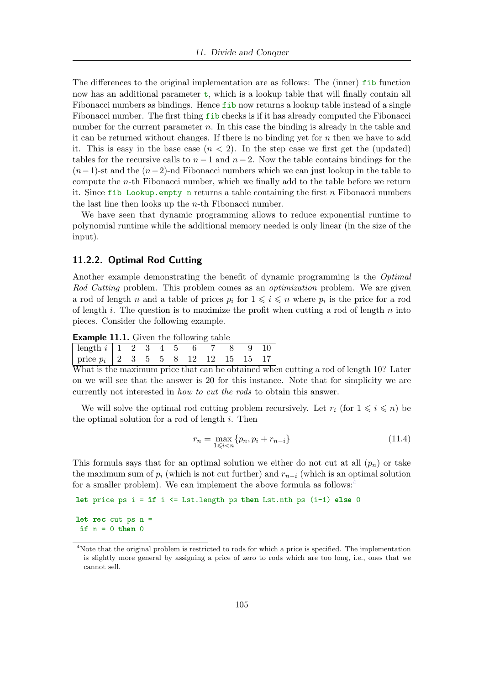The differences to the original implementation are as follows: The (inner) fib function now has an additional parameter  $t$ , which is a lookup table that will finally contain all Fibonacci numbers as bindings. Hence fib now returns a lookup table instead of a single Fibonacci number. The first thing fib checks is if it has already computed the Fibonacci number for the current parameter  $n$ . In this case the binding is already in the table and it can be returned without changes. If there is no binding yet for  $n$  then we have to add it. This is easy in the base case  $(n < 2)$ . In the step case we first get the (updated) tables for the recursive calls to  $n-1$  and  $n-2$ . Now the table contains bindings for the  $(n-1)$ -st and the  $(n-2)$ -nd Fibonacci numbers which we can just lookup in the table to compute the  $n$ -th Fibonacci number, which we finally add to the table before we return it. Since fib Lookup.empty n returns a table containing the first n Fibonacci numbers the last line then looks up the n-th Fibonacci number.

We have seen that dynamic programming allows to reduce exponential runtime to polynomial runtime while the additional memory needed is only linear (in the size of the input).

#### 11.2.2. Optimal Rod Cutting

Another example demonstrating the benefit of dynamic programming is the Optimal Rod Cutting problem. This problem comes as an *optimization* problem. We are given a rod of length n and a table of prices  $p_i$  for  $1 \leq i \leq n$  where  $p_i$  is the price for a rod of length i. The question is to maximize the profit when cutting a rod of length n into pieces. Consider the following example.

**Example 11.1.** Given the following table

| $\boxed{\text{length } i \mid 1 \quad 2 \quad 3 \quad 4 \quad 5 \quad 6 \quad 7 \quad 8 \quad 9 \quad 10}$ |  |  |  |  |  |
|------------------------------------------------------------------------------------------------------------|--|--|--|--|--|
| price $p_i$   2 3 5 5 8 12 12 15 15 17                                                                     |  |  |  |  |  |

What is the maximum price that can be obtained when cutting a rod of length 10? Later on we will see that the answer is 20 for this instance. Note that for simplicity we are currently not interested in how to cut the rods to obtain this answer.

We will solve the optimal rod cutting problem recursively. Let  $r_i$  (for  $1 \leq i \leq n$ ) be the optimal solution for a rod of length  $i$ . Then

$$
r_n = \max_{1 \le i < n} \{ p_n, p_i + r_{n-i} \} \tag{11.4}
$$

This formula says that for an optimal solution we either do not cut at all  $(p_n)$  or take the maximum sum of  $p_i$  (which is not cut further) and  $r_{n-i}$  (which is an optimal solution for a smaller problem). We can implement the above formula as follows:<sup>4</sup>

```
Let price ps i = if i <= Lst.length ps then Lst.nth ps (i-1) else 0
```
let rec cut ps  $n =$ if  $n = 0$  then 0

<sup>&</sup>lt;sup>4</sup>Note that the original problem is restricted to rods for which a price is specified. The implementation is slightly more general by assigning a price of zero to rods which are too long, i.e., ones that we cannot sell.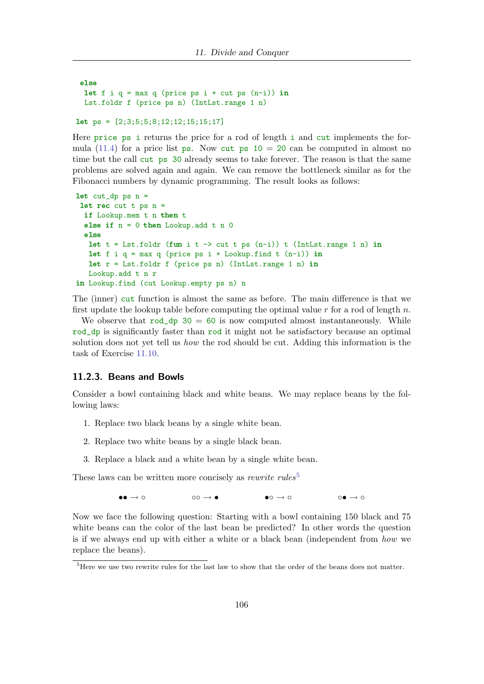```
else
let f i q = max q (price ps i + cut ps (n-i)) in
Lst.foldr f (price ps n) (IntLst.range 1 n)
```

```
let ps = [2;3;5;5;8;12;12;15;15;17]
```
Here price ps i returns the price for a rod of length i and cut implements the formula (11.4) for a price list ps. Now cut ps  $10 = 20$  can be computed in almost no time but the call cut ps 30 already seems to take forever. The reason is that the same problems are solved again and again. We can remove the bottleneck similar as for the Fibonacci numbers by dynamic programming. The result looks as follows:

```
let cut_dp ps n =
let rec cut t ps n =if Lookup.mem t n then t
 else if n = 0 then Lookup.add t n 0
 else
  let t = Lst.foldr (fun i t \rightarrow cut t ps (n-i)) t (IntLst.range 1 n) in
  let f i q = max q (price ps i + Lookup.find t (n-i)) in
  let r = Lst.foldr f (price ps n) (IntLst.range 1 n) in
  Lookup.add t n r
in Lookup.find (cut Lookup.empty ps n) n
```
The (inner) cut function is almost the same as before. The main difference is that we first update the lookup table before computing the optimal value r for a rod of length n.

We observe that  $rod_dp \ 30 = 60$  is now computed almost instantaneously. While rod\_dp is significantly faster than rod it might not be satisfactory because an optimal solution does not yet tell us *how* the rod should be cut. Adding this information is the task of Exercise 11.10.

#### 11.2.3. Beans and Bowls

Consider a bowl containing black and white beans. We may replace beans by the following laws:

- 1. Replace two black beans by a single white bean.
- 2. Replace two white beans by a single black bean.
- 3. Replace a black and a white bean by a single white bean.

These laws can be written more concisely as *rewrite rules*<sup>5</sup>

•• → ◦ ◦◦ → • •◦ → ◦ ◦• → ◦

Now we face the following question: Starting with a bowl containing 150 black and 75 white beans can the color of the last bean be predicted? In other words the question is if we always end up with either a white or a black bean (independent from how we replace the beans).

 ${}^{5}$ Here we use two rewrite rules for the last law to show that the order of the beans does not matter.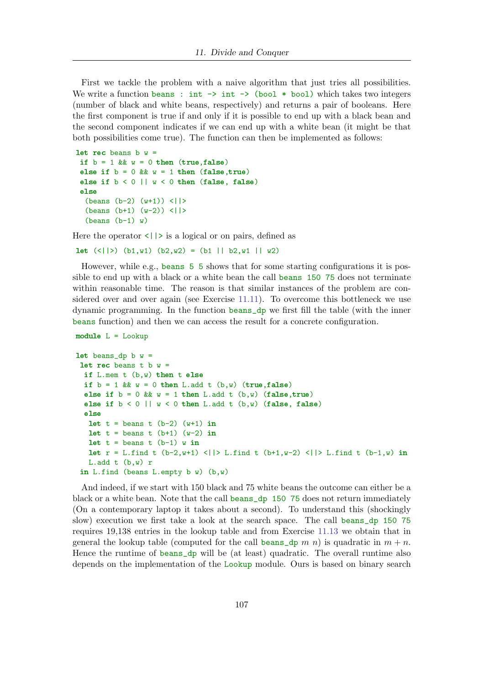First we tackle the problem with a naive algorithm that just tries all possibilities. We write a function beans : int  $\rightarrow$  int  $\rightarrow$  (bool  $*$  bool) which takes two integers (number of black and white beans, respectively) and returns a pair of booleans. Here the first component is true if and only if it is possible to end up with a black bean and the second component indicates if we can end up with a white bean (it might be that both possibilities come true). The function can then be implemented as follows:

```
let rec beans b w =if b = 1 && w = 0 then (true, false)
 else if b = 0 && w = 1 then (false, true)
 else if b < 0 || w < 0 then (false, false)
 else
  (b=2) (w+1) \langle |(beans (b+1) (w-2)) \langle| |>
  (b=1) w)
```
Here the operator  $\langle |\rangle$  is a logical or on pairs, defined as

 $let (\langle|>rangle) (b1,w1) (b2,w2) = (b1 || b2,w1 || w2)$ 

However, while e.g., beans 5 5 shows that for some starting configurations it is possible to end up with a black or a white bean the call beans 150 75 does not terminate within reasonable time. The reason is that similar instances of the problem are considered over and over again (see Exercise 11.11). To overcome this bottleneck we use dynamic programming. In the function beans\_dp we first fill the table (with the inner beans function) and then we can access the result for a concrete configuration.

```
module L = Lookup
```

```
let beans_dp b w =let rec beans t b w =if L.mem t (b,w) then t else
 if b = 1 && w = 0 then L.add t (b,w) (true, false)
 else if b = 0 && w = 1 then L.add t (b,w) (false, true)
 else if b < 0 || w < 0 then L.add t (b,w) (false, false)
 else
  let t = beans t (b-2) (w+1) in
  let t = beans t (b+1) (w-2) in
  let t = beans t (b-1) w in
  let r = L.find t (b-2, w+1) < | |> L.find t (b+1, w-2) < | |> L.find t (b-1, w) in
   L.add t (b,w) r
 in L.find (beans L.empty b w) (b,w)
```
And indeed, if we start with 150 black and 75 white beans the outcome can either be a black or a white bean. Note that the call beans\_dp 150 75 does not return immediately (On a contemporary laptop it takes about a second). To understand this (shockingly slow) execution we first take a look at the search space. The call beans\_dp 150 75 requires 19,138 entries in the lookup table and from Exercise 11.13 we obtain that in general the lookup table (computed for the call beans  $\Delta p$  m n) is quadratic in  $m + n$ . Hence the runtime of beans\_dp will be (at least) quadratic. The overall runtime also depends on the implementation of the Lookup module. Ours is based on binary search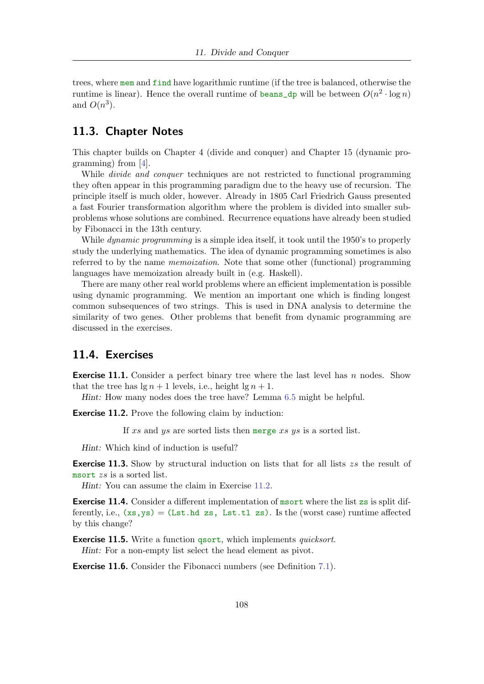trees, where mem and find have logarithmic runtime (if the tree is balanced, otherwise the runtime is linear). Hence the overall runtime of beans  $\Delta p$  will be between  $O(n^2 \cdot \log n)$ and  $O(n^3)$ .

# 11.3. Chapter Notes

This chapter builds on Chapter 4 (divide and conquer) and Chapter 15 (dynamic programming) from [4].

While *divide and conquer* techniques are not restricted to functional programming they often appear in this programming paradigm due to the heavy use of recursion. The principle itself is much older, however. Already in 1805 Carl Friedrich Gauss presented a fast Fourier transformation algorithm where the problem is divided into smaller subproblems whose solutions are combined. Recurrence equations have already been studied by Fibonacci in the 13th century.

While *dynamic programming* is a simple idea itself, it took until the 1950's to properly study the underlying mathematics. The idea of dynamic programming sometimes is also referred to by the name memoization. Note that some other (functional) programming languages have memoization already built in (e.g. Haskell).

There are many other real world problems where an efficient implementation is possible using dynamic programming. We mention an important one which is finding longest common subsequences of two strings. This is used in DNA analysis to determine the similarity of two genes. Other problems that benefit from dynamic programming are discussed in the exercises.

## 11.4. Exercises

**Exercise 11.1.** Consider a perfect binary tree where the last level has n nodes. Show that the tree has  $\lg n + 1$  levels, i.e., height  $\lg n + 1$ .

Hint: How many nodes does the tree have? Lemma 6.5 might be helpful.

Exercise 11.2. Prove the following claim by induction:

If xs and ys are sorted lists then merge xs ys is a sorted list.

Hint: Which kind of induction is useful?

**Exercise 11.3.** Show by structural induction on lists that for all lists zs the result of msort zs is a sorted list.

Hint: You can assume the claim in Exercise 11.2.

Exercise 11.4. Consider a different implementation of msort where the list zs is split differently, i.e.,  $(xs,ys) = (lst.hd zs, List.tl zs)$ . Is the (worst case) runtime affected by this change?

**Exercise 11.5.** Write a function qsort, which implements *quicksort*. Hint: For a non-empty list select the head element as pivot.

**Exercise 11.6.** Consider the Fibonacci numbers (see Definition 7.1).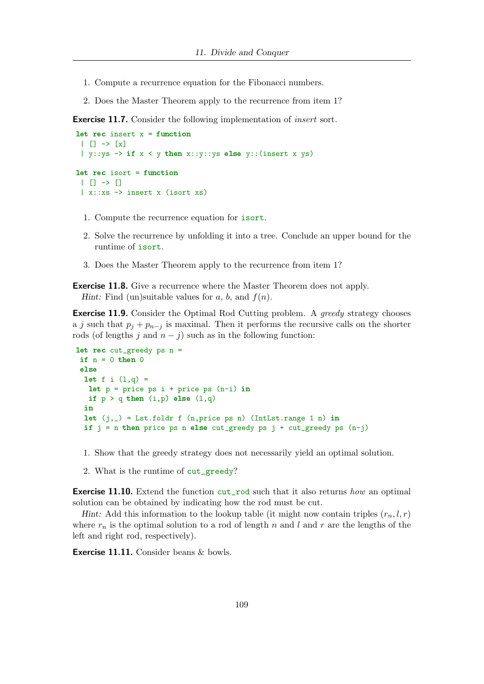- 1. Compute a recurrence equation for the Fibonacci numbers.
- 2. Does the Master Theorem apply to the recurrence from item 1?

**Exercise 11.7.** Consider the following implementation of *insert* sort.

```
let rec insert x = function
| | \rightarrow x| y::ys \rightarrow if x < y then x::y::ys else y::(insert x ys)
let rec isort = function
 | | \rightarrow || x::xs -> insert x (isort xs)
```
- 1. Compute the recurrence equation for isort.
- 2. Solve the recurrence by unfolding it into a tree. Conclude an upper bound for the runtime of isort.
- 3. Does the Master Theorem apply to the recurrence from item 1?

**Exercise 11.8.** Give a recurrence where the Master Theorem does not apply. Hint: Find (un)suitable values for  $a, b$ , and  $f(n)$ .

**Exercise 11.9.** Consider the Optimal Rod Cutting problem. A greedy strategy chooses a j such that  $p_i + p_{n-i}$  is maximal. Then it performs the recursive calls on the shorter rods (of lengths j and  $n - j$ ) such as in the following function:

```
let rec cut\_greedy ps n =if n = 0 then 0
else
 let f i (1,q) =
  let p = price ps i + price ps (n-i) inif p > q then (i,p) else (l,q)in
 let (j, ) = Lst.foldr f (n, price ps n) (IntLst.range 1 n) in
 if j = n then price ps n else cut_greedy ps j + cut\_greedy ps (n-j)
```
- 1. Show that the greedy strategy does not necessarily yield an optimal solution.
- 2. What is the runtime of cut\_greedy?

**Exercise 11.10.** Extend the function cut\_rod such that it also returns how an optimal solution can be obtained by indicating how the rod must be cut.

Hint: Add this information to the lookup table (it might now contain triples  $(r_n, l, r)$ ) where  $r_n$  is the optimal solution to a rod of length n and l and r are the lengths of the left and right rod, respectively).

Exercise 11.11. Consider beans & bowls.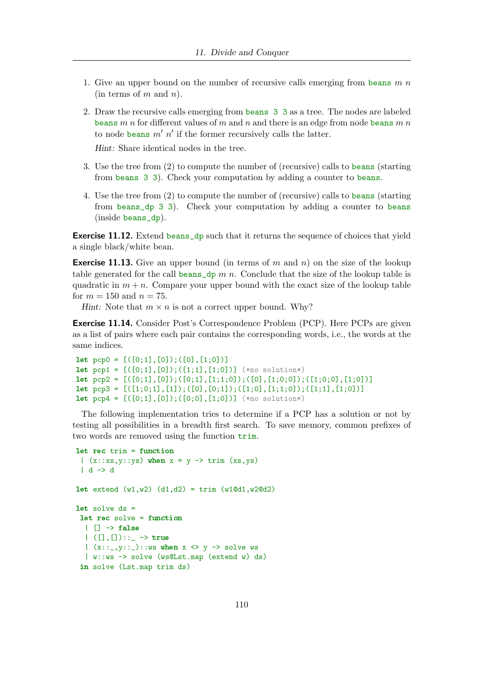- 1. Give an upper bound on the number of recursive calls emerging from beans  $m n$  $(in terms of m and n).$
- 2. Draw the recursive calls emerging from beans 3 3 as a tree. The nodes are labeled beans m n for different values of m and n and there is an edge from node beans m n to node beans  $m'$  n' if the former recursively calls the latter.

Hint: Share identical nodes in the tree.

- 3. Use the tree from (2) to compute the number of (recursive) calls to beans (starting from beans 3 3). Check your computation by adding a counter to beans.
- 4. Use the tree from (2) to compute the number of (recursive) calls to beans (starting from beans\_dp 3 3). Check your computation by adding a counter to beans (inside beans\_dp).

Exercise 11.12. Extend beans\_dp such that it returns the sequence of choices that yield a single black/white bean.

**Exercise 11.13.** Give an upper bound (in terms of m and n) on the size of the lookup table generated for the call beans\_dp  $m n$ . Conclude that the size of the lookup table is quadratic in  $m + n$ . Compare your upper bound with the exact size of the lookup table for  $m = 150$  and  $n = 75$ .

Hint: Note that  $m \times n$  is not a correct upper bound. Why?

Exercise 11.14. Consider Post's Correspondence Problem (PCP). Here PCPs are given as a list of pairs where each pair contains the corresponding words, i.e., the words at the same indices.

```
let pop0 = [([0;1],[0]);([0],[1;0]])let pcp1 = [(0;1],[0]);([1;1],[1;0])] (*no solution*)
let pop2 = [([0;1],[0]);([0;1],[1;1;0]);([0],[1;0;0]);([1;0;0],[1;0]])]let pcp3 = [([1;0;1],[1]);([0],[0;1]);([1;0],[1;1;0]);([1;1],[1;0]])let pcp4 = [([0;1],[0]);([0;0],[1;0])] (*no solution*)
```
The following implementation tries to determine if a PCP has a solution or not by testing all possibilities in a breadth first search. To save memory, common prefixes of two words are removed using the function  $\text{trim.}$ 

```
let rec trim = function(x::xs,y::ys) when x = y \rightarrow trim (xs,ys)| d \rightarrow dlet \text{ extend } (w1,w2) \text{ (d1,d2)} = \text{trim } (w1@d1,w2@d2)let solve ds =let rec solve = function
  | | \rightarrow false
  | ([], []) :: ] \rightarrow true|(x::_y::_c)::ws when x \Leftrightarrow y \rightarrow solve ws
  | w::ws -> solve (ws@Lst.map (extend w) ds)
 in solve (Lst.map trim ds)
```